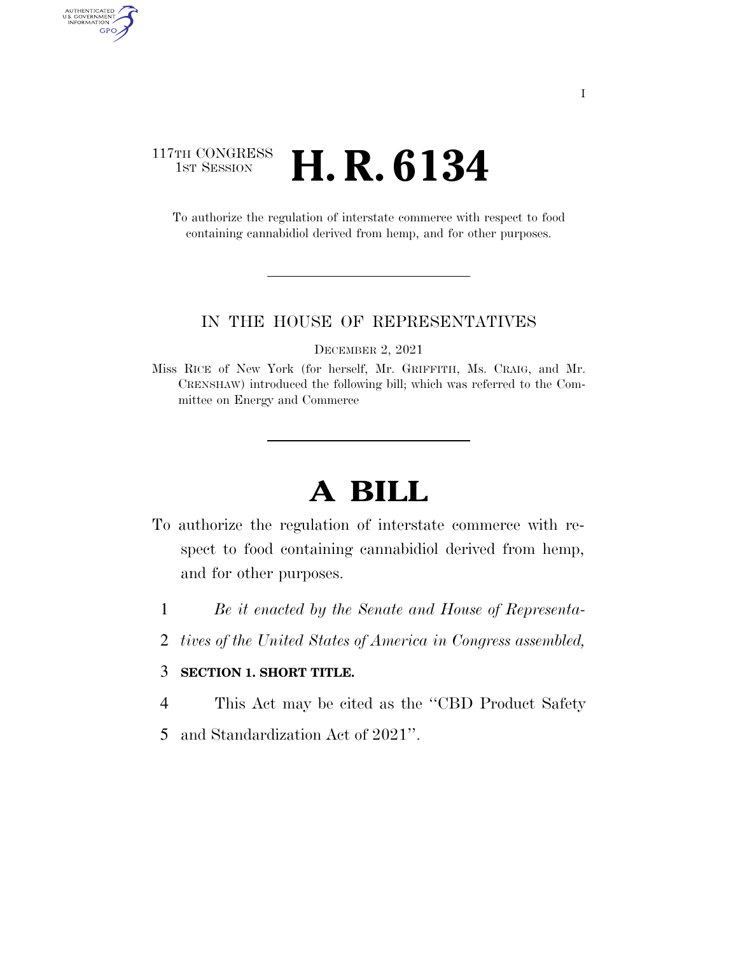### 117TH CONGRESS <sup>TH CONGRESS</sup> **H. R. 6134**

AUTHENTICATED<br>U.S. GOVERNMENT<br>INFORMATION

GPO

To authorize the regulation of interstate commerce with respect to food containing cannabidiol derived from hemp, and for other purposes.

#### IN THE HOUSE OF REPRESENTATIVES

DECEMBER 2, 2021

Miss RICE of New York (for herself, Mr. GRIFFITH, Ms. CRAIG, and Mr. CRENSHAW) introduced the following bill; which was referred to the Committee on Energy and Commerce

# **A BILL**

- To authorize the regulation of interstate commerce with respect to food containing cannabidiol derived from hemp, and for other purposes.
	- 1 *Be it enacted by the Senate and House of Representa-*
	- 2 *tives of the United States of America in Congress assembled,*

#### 3 **SECTION 1. SHORT TITLE.**

- 4 This Act may be cited as the ''CBD Product Safety
- 5 and Standardization Act of 2021''.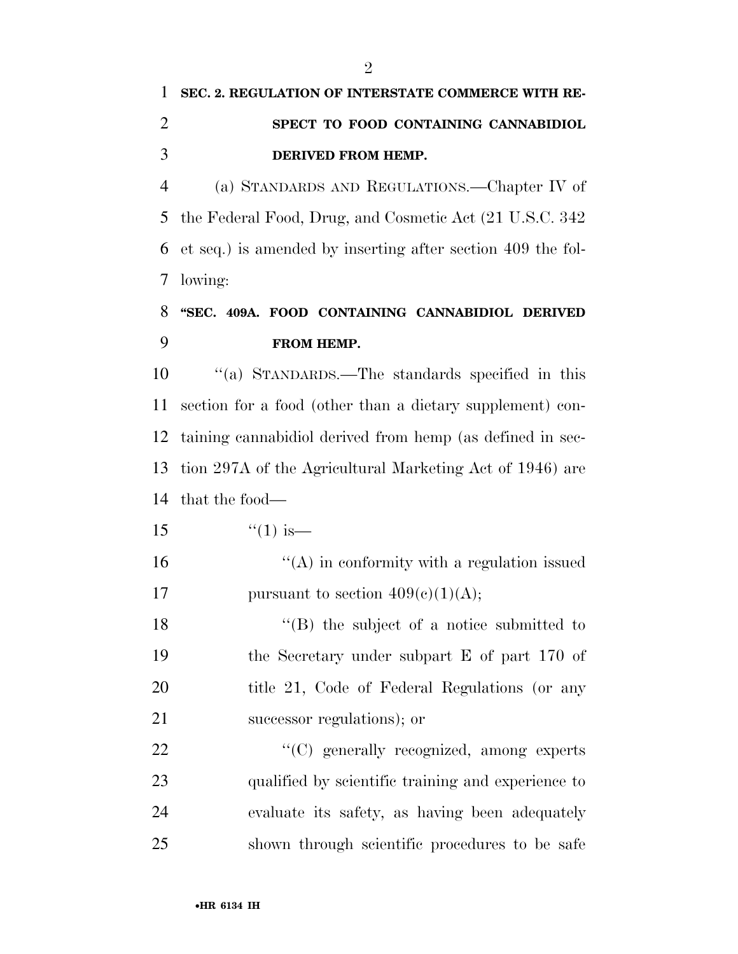# **SEC. 2. REGULATION OF INTERSTATE COMMERCE WITH RE- SPECT TO FOOD CONTAINING CANNABIDIOL DERIVED FROM HEMP.**

 (a) STANDARDS AND REGULATIONS.—Chapter IV of the Federal Food, Drug, and Cosmetic Act (21 U.S.C. 342 et seq.) is amended by inserting after section 409 the fol-lowing:

## **''SEC. 409A. FOOD CONTAINING CANNABIDIOL DERIVED FROM HEMP.**

 ''(a) STANDARDS.—The standards specified in this section for a food (other than a dietary supplement) con- taining cannabidiol derived from hemp (as defined in sec- tion 297A of the Agricultural Marketing Act of 1946) are that the food—

- 15  $\frac{15}{15}$   $\frac{15}{15}$
- $\mathcal{L}(\mathbf{A})$  in conformity with a regulation issued 17 pursuant to section  $409(c)(1)(A);$

 ''(B) the subject of a notice submitted to the Secretary under subpart E of part 170 of title 21, Code of Federal Regulations (or any successor regulations); or

 $\cdot$  (C) generally recognized, among experts qualified by scientific training and experience to evaluate its safety, as having been adequately shown through scientific procedures to be safe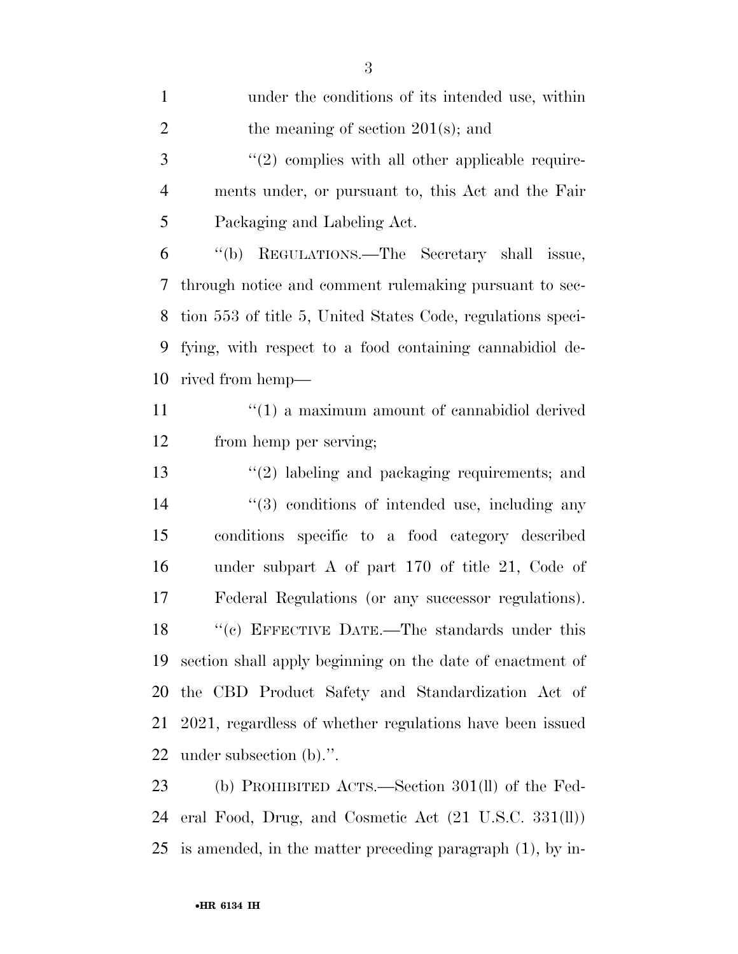| $\mathbf{1}$   | under the conditions of its intended use, within            |
|----------------|-------------------------------------------------------------|
| $\overline{2}$ | the meaning of section $201(s)$ ; and                       |
| 3              | $\lq(2)$ complies with all other applicable require-        |
| 4              | ments under, or pursuant to, this Act and the Fair          |
| 5              | Packaging and Labeling Act.                                 |
| 6              | "(b) REGULATIONS.—The Secretary shall issue,                |
| 7              | through notice and comment rulemaking pursuant to sec-      |
| 8              | tion 553 of title 5, United States Code, regulations speci- |
| 9              | fying, with respect to a food containing cannabidiol de-    |
| 10             | rived from hemp—                                            |
| 11             | $\cdot$ (1) a maximum amount of cannabidiol derived         |
| 12             | from hemp per serving;                                      |
| 13             | $\lq(2)$ labeling and packaging requirements; and           |
| 14             | "(3) conditions of intended use, including any              |
| 15             | conditions specific to a food category described            |
| 16             | under subpart A of part $170$ of title 21, Code of          |
| 17             | Federal Regulations (or any successor regulations).         |
| 18             | "(c) EFFECTIVE DATE.—The standards under this               |
| 19             | section shall apply beginning on the date of enactment of   |
| 20             | the CBD Product Safety and Standardization Act of           |
| 21             | 2021, regardless of whether regulations have been issued    |
| 22             | under subsection $(b)$ .".                                  |
| 23             | (b) PROHIBITED ACTS.—Section 301(ll) of the Fed-            |
| 24             | eral Food, Drug, and Cosmetic Act (21 U.S.C. 331(ll))       |

is amended, in the matter preceding paragraph (1), by in-